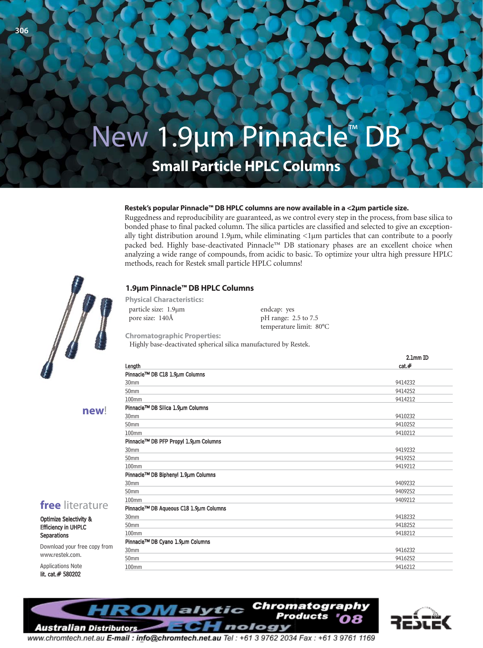# New 1.9μm Pinnacle™ D

**Small Particle HPLC Columns**

#### **Restek's popular Pinnacle™ DB HPLC columns are now available in a <2μm particle size.**

Ruggedness and reproducibility are guaranteed, as we control every step in the process, from base silica to bonded phase to final packed column. The silica particles are classified and selected to give an exceptionally tight distribution around 1.9 $\mu$ m, while eliminating <1 $\mu$ m particles that can contribute to a poorly packed bed. Highly base-deactivated Pinnacle™ DB stationary phases are an excellent choice when analyzing a wide range of compounds, from acidic to basic. To optimize your ultra high pressure HPLC methods, reach for Restek small particle HPLC columns!

#### **1.9μm Pinnacle™ DB HPLC Columns**

particle size: 1.9µm pore size: 140Å **Physical Characteristics:**

**free** literature Optimize Selectivity & Efficiency in UHPLC **Separations** 

**new**!

Download your free copy from

www.restek.com. Applications Note lit. cat.# 580202

**306**

endcap: yes pH range: 2.5 to 7.5 temperature limit: 80°C

**Chromatographic Properties:** Highly base-deactivated spherical silica manufactured by Restek.

| Length                                 | 2.1mm ID |
|----------------------------------------|----------|
|                                        | cat.#    |
| Pinnacle™ DB C18 1.9µm Columns         |          |
| 30mm                                   | 9414232  |
| 50 <sub>mm</sub>                       | 9414252  |
| 100mm                                  | 9414212  |
| Pinnacle™ DB Silica 1.9µm Columns      |          |
| 30mm                                   | 9410232  |
| 50 <sub>mm</sub>                       | 9410252  |
| 100 <sub>mm</sub>                      | 9410212  |
| Pinnacle™ DB PFP Propyl 1.9µm Columns  |          |
| 30 <sub>mm</sub>                       | 9419232  |
| 50 <sub>mm</sub>                       | 9419252  |
| 100mm                                  | 9419212  |
| Pinnacle™ DB Biphenyl 1.9µm Columns    |          |
| 30mm                                   | 9409232  |
| 50mm                                   | 9409252  |
| 100 <sub>mm</sub>                      | 9409212  |
| Pinnacle™ DB Aqueous C18 1.9µm Columns |          |
| 30mm                                   | 9418232  |
| 50 <sub>mm</sub>                       | 9418252  |
| 100mm                                  | 9418212  |
| Pinnacle™ DB Cyano 1.9µm Columns       |          |
| 30mm                                   | 9416232  |
| 50 <sub>mm</sub>                       | 9416252  |
| 100mm                                  | 9416212  |





www.chromtech.net.au E-mail: info@chromtech.net.au Tel: +61 3 9762 2034 Fax: +61 3 9761 1169